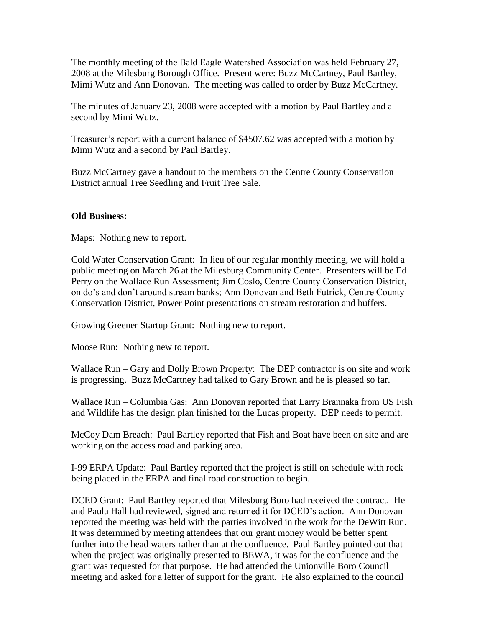The monthly meeting of the Bald Eagle Watershed Association was held February 27, 2008 at the Milesburg Borough Office. Present were: Buzz McCartney, Paul Bartley, Mimi Wutz and Ann Donovan. The meeting was called to order by Buzz McCartney.

The minutes of January 23, 2008 were accepted with a motion by Paul Bartley and a second by Mimi Wutz.

Treasurer's report with a current balance of \$4507.62 was accepted with a motion by Mimi Wutz and a second by Paul Bartley.

Buzz McCartney gave a handout to the members on the Centre County Conservation District annual Tree Seedling and Fruit Tree Sale.

## **Old Business:**

Maps: Nothing new to report.

Cold Water Conservation Grant: In lieu of our regular monthly meeting, we will hold a public meeting on March 26 at the Milesburg Community Center. Presenters will be Ed Perry on the Wallace Run Assessment; Jim Coslo, Centre County Conservation District, on do's and don't around stream banks; Ann Donovan and Beth Futrick, Centre County Conservation District, Power Point presentations on stream restoration and buffers.

Growing Greener Startup Grant: Nothing new to report.

Moose Run: Nothing new to report.

Wallace Run – Gary and Dolly Brown Property: The DEP contractor is on site and work is progressing. Buzz McCartney had talked to Gary Brown and he is pleased so far.

Wallace Run – Columbia Gas: Ann Donovan reported that Larry Brannaka from US Fish and Wildlife has the design plan finished for the Lucas property. DEP needs to permit.

McCoy Dam Breach: Paul Bartley reported that Fish and Boat have been on site and are working on the access road and parking area.

I-99 ERPA Update: Paul Bartley reported that the project is still on schedule with rock being placed in the ERPA and final road construction to begin.

DCED Grant: Paul Bartley reported that Milesburg Boro had received the contract. He and Paula Hall had reviewed, signed and returned it for DCED's action. Ann Donovan reported the meeting was held with the parties involved in the work for the DeWitt Run. It was determined by meeting attendees that our grant money would be better spent further into the head waters rather than at the confluence. Paul Bartley pointed out that when the project was originally presented to BEWA, it was for the confluence and the grant was requested for that purpose. He had attended the Unionville Boro Council meeting and asked for a letter of support for the grant. He also explained to the council